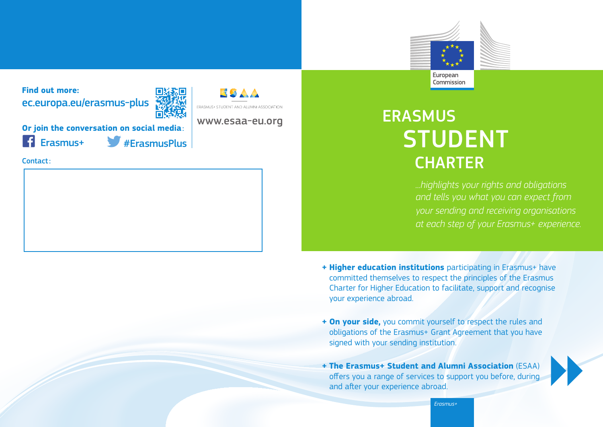

**Find out more:** ec.europa.eu/erasmus-plus



**Or join the conversation on social media**:

Erasmus+ #ErasmusPlus

Contact:

# ERASMUS STUDENT **CHARTER**

*...highlights your rights and obligations and tells you what you can expect from your sending and receiving organisations at each step of your Erasmus+ experience.*

- **+ Higher education institutions** participating in Erasmus+ have committed themselves to respect the principles of the Erasmus Charter for Higher Education to facilitate, support and recognise your experience abroad.
- **+ On your side,** you commit yourself to respect the rules and obligations of the Erasmus+ Grant Agreement that you have signed with your sending institution.
- **+ The Erasmus+ Student and Alumni Association** (ESAA) offers you a range of services to support you before, during and after your experience abroad.